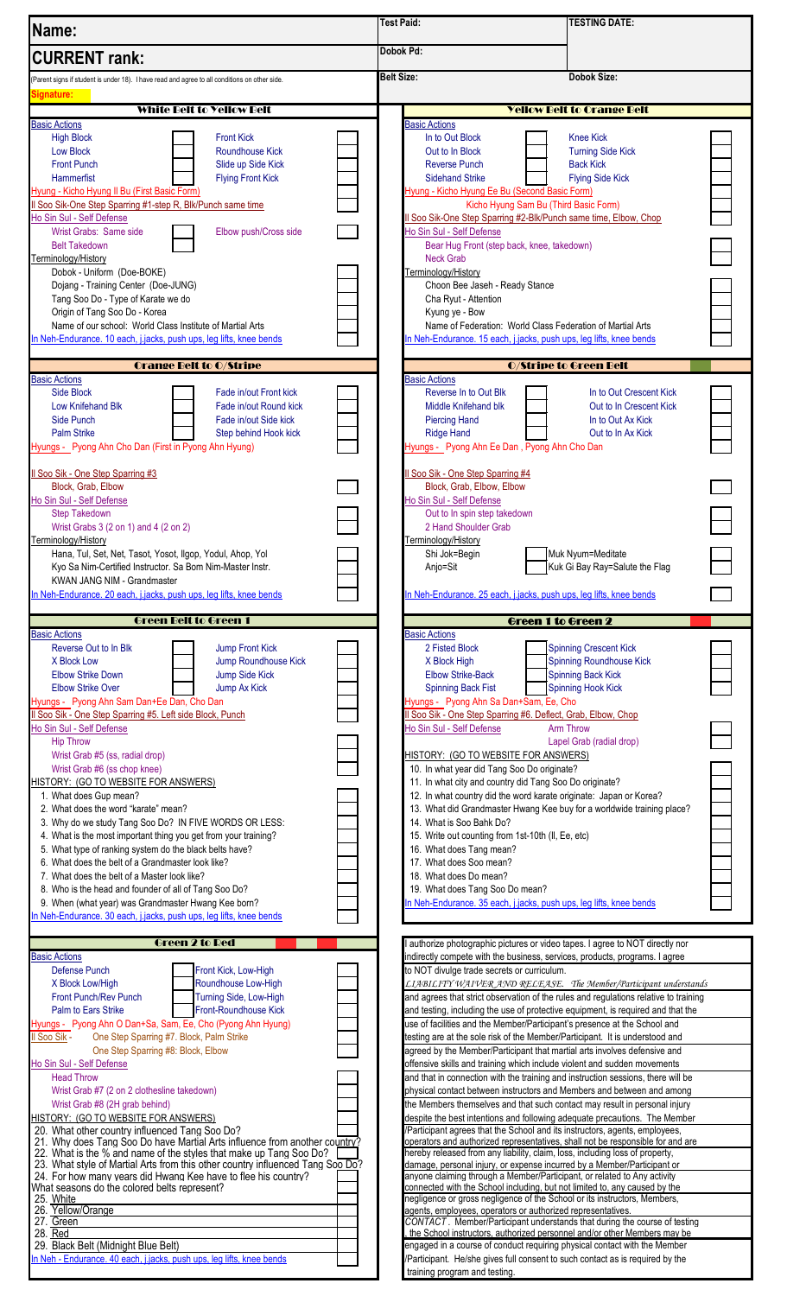| Name:                                                                                                                                                                                                                                                                                                                                                                                                                                                                                                                   | <b>TESTING DATE:</b><br><b>Test Paid:</b>                                                                                                                                                                                                                                                                                                                                                                                                                                                                                                                                                                                                                             |  |
|-------------------------------------------------------------------------------------------------------------------------------------------------------------------------------------------------------------------------------------------------------------------------------------------------------------------------------------------------------------------------------------------------------------------------------------------------------------------------------------------------------------------------|-----------------------------------------------------------------------------------------------------------------------------------------------------------------------------------------------------------------------------------------------------------------------------------------------------------------------------------------------------------------------------------------------------------------------------------------------------------------------------------------------------------------------------------------------------------------------------------------------------------------------------------------------------------------------|--|
| <b>CURRENT</b> rank:                                                                                                                                                                                                                                                                                                                                                                                                                                                                                                    | Dobok Pd:                                                                                                                                                                                                                                                                                                                                                                                                                                                                                                                                                                                                                                                             |  |
| (Parent signs if student is under 18). I have read and agree to all conditions on other side.                                                                                                                                                                                                                                                                                                                                                                                                                           | <b>Belt Size:</b><br><b>Dobok Size:</b>                                                                                                                                                                                                                                                                                                                                                                                                                                                                                                                                                                                                                               |  |
| Signature:                                                                                                                                                                                                                                                                                                                                                                                                                                                                                                              |                                                                                                                                                                                                                                                                                                                                                                                                                                                                                                                                                                                                                                                                       |  |
| White Belt to Yellow Belt<br><b>Basic Actions</b>                                                                                                                                                                                                                                                                                                                                                                                                                                                                       | <b>Yellow Belt to Orange Belt</b><br><b>Basic Actions</b>                                                                                                                                                                                                                                                                                                                                                                                                                                                                                                                                                                                                             |  |
| <b>High Block</b><br><b>Front Kick</b><br><b>Low Block</b><br><b>Roundhouse Kick</b><br><b>Front Punch</b><br>Slide up Side Kick<br>Hammerfist<br><b>Flying Front Kick</b><br>Hyung - Kicho Hyung II Bu (First Basic Form)<br>Il Soo Sik-One Step Sparring #1-step R, Blk/Punch same time<br>Ho Sin Sul - Self Defense                                                                                                                                                                                                  | In to Out Block<br><b>Knee Kick</b><br>Out to In Block<br><b>Turning Side Kick</b><br><b>Reverse Punch</b><br><b>Back Kick</b><br><b>Sidehand Strike</b><br><b>Flying Side Kick</b><br>Hyung - Kicho Hyung Ee Bu (Second Basic Form)<br>Kicho Hyung Sam Bu (Third Basic Form)<br>Il Soo Sik-One Step Sparring #2-Blk/Punch same time, Elbow, Chop                                                                                                                                                                                                                                                                                                                     |  |
| Wrist Grabs: Same side<br>Elbow push/Cross side<br><b>Belt Takedown</b><br>Terminology/History<br>Dobok - Uniform (Doe-BOKE)                                                                                                                                                                                                                                                                                                                                                                                            | Ho Sin Sul - Self Defense<br>Bear Hug Front (step back, knee, takedown)<br><b>Neck Grab</b><br>Terminology/History                                                                                                                                                                                                                                                                                                                                                                                                                                                                                                                                                    |  |
| Dojang - Training Center (Doe-JUNG)<br>Tang Soo Do - Type of Karate we do<br>Origin of Tang Soo Do - Korea<br>Name of our school: World Class Institute of Martial Arts<br>In Neh-Endurance. 10 each, j.jacks, push ups, leg lifts, knee bends                                                                                                                                                                                                                                                                          | Choon Bee Jaseh - Ready Stance<br>Cha Ryut - Attention<br>Kyung ye - Bow<br>Name of Federation: World Class Federation of Martial Arts<br>In Neh-Endurance. 15 each, j.jacks, push ups, leg lifts, knee bends                                                                                                                                                                                                                                                                                                                                                                                                                                                         |  |
| <b>Orange Belt to O/Stripe</b><br><b>Basic Actions</b>                                                                                                                                                                                                                                                                                                                                                                                                                                                                  | <b>O/Stripe to Green Belt</b><br><b>Basic Actions</b>                                                                                                                                                                                                                                                                                                                                                                                                                                                                                                                                                                                                                 |  |
| Side Block<br>Fade in/out Front kick<br><b>Low Knifehand Blk</b><br>Fade in/out Round kick<br>Side Punch<br>Fade in/out Side kick<br><b>Palm Strike</b><br>Step behind Hook kick<br>Hyungs - Pyong Ahn Cho Dan (First in Pyong Ahn Hyung)                                                                                                                                                                                                                                                                               | Reverse In to Out Blk<br>In to Out Crescent Kick<br>Middle Knifehand blk<br>Out to In Crescent Kick<br><b>Piercing Hand</b><br>In to Out Ax Kick<br><b>Ridge Hand</b><br>Out to In Ax Kick<br>Hyungs - Pyong Ahn Ee Dan, Pyong Ahn Cho Dan                                                                                                                                                                                                                                                                                                                                                                                                                            |  |
| Il Soo Sik - One Step Sparring #3<br>Block, Grab, Elbow<br>Ho Sin Sul - Self Defense<br><b>Step Takedown</b>                                                                                                                                                                                                                                                                                                                                                                                                            | Il Soo Sik - One Step Sparring #4<br>Block, Grab, Elbow, Elbow<br>Ho Sin Sul - Self Defense<br>Out to In spin step takedown                                                                                                                                                                                                                                                                                                                                                                                                                                                                                                                                           |  |
| Wrist Grabs 3 (2 on 1) and 4 (2 on 2)<br>Terminology/History<br>Hana, Tul, Set, Net, Tasot, Yosot, Ilgop, Yodul, Ahop, Yol<br>Kyo Sa Nim-Certified Instructor. Sa Bom Nim-Master Instr.                                                                                                                                                                                                                                                                                                                                 | 2 Hand Shoulder Grab<br>Terminology/History<br>Shi Jok=Begin<br>Muk Nyum=Meditate<br>Kuk Gi Bay Ray=Salute the Flag<br>Anjo=Sit                                                                                                                                                                                                                                                                                                                                                                                                                                                                                                                                       |  |
| KWAN JANG NIM - Grandmaster<br>n Neh-Endurance. 20 each, j.jacks, push ups, leg lifts, knee bends                                                                                                                                                                                                                                                                                                                                                                                                                       | In Neh-Endurance. 25 each, j.jacks, push ups, leg lifts, knee bends                                                                                                                                                                                                                                                                                                                                                                                                                                                                                                                                                                                                   |  |
| <b>Green Belt to Green 1</b>                                                                                                                                                                                                                                                                                                                                                                                                                                                                                            | Green 1 to Green 2                                                                                                                                                                                                                                                                                                                                                                                                                                                                                                                                                                                                                                                    |  |
| <b>Basic Actions</b><br>Reverse Out to In Blk<br>Jump Front Kick<br>Jump Roundhouse Kick<br>X Block Low<br><b>Elbow Strike Down</b><br>Jump Side Kick<br><b>Elbow Strike Over</b><br>Jump Ax Kick<br>Hyungs - Pyong Ahn Sam Dan+Ee Dan, Cho Dan<br>Il Soo Sik - One Step Sparring #5. Left side Block, Punch<br>Ho Sin Sul - Self Defense<br><b>Hip Throw</b><br>Wrist Grab #5 (ss, radial drop)<br>Wrist Grab #6 (ss chop knee)<br>HISTORY: (GO TO WEBSITE FOR ANSWERS)<br>1. What does Gup mean?                      | <b>Basic Actions</b><br>2 Fisted Block<br><b>Spinning Crescent Kick</b><br><b>Spinning Roundhouse Kick</b><br>X Block High<br><b>Elbow Strike-Back</b><br><b>Spinning Back Kick</b><br><b>Spinning Hook Kick</b><br><b>Spinning Back Fist</b><br>Hyungs - Pyong Ahn Sa Dan+Sam, Ee, Cho<br>Il Soo Sik - One Step Sparring #6. Deflect, Grab, Elbow, Chop<br><b>Arm Throw</b><br>Ho Sin Sul - Self Defense<br>Lapel Grab (radial drop)<br><u> HISTORY: (GO TO WEBSITE FOR ANSWERS)</u><br>10. In what year did Tang Soo Do originate?<br>11. In what city and country did Tang Soo Do originate?<br>12. In what country did the word karate originate: Japan or Korea? |  |
| 2. What does the word "karate" mean?<br>3. Why do we study Tang Soo Do? IN FIVE WORDS OR LESS:<br>4. What is the most important thing you get from your training?<br>5. What type of ranking system do the black belts have?<br>6. What does the belt of a Grandmaster look like?<br>7. What does the belt of a Master look like?<br>8. Who is the head and founder of all of Tang Soo Do?<br>9. When (what year) was Grandmaster Hwang Kee born?<br>n Neh-Endurance. 30 each, j.jacks, push ups, leg lifts, knee bends | 13. What did Grandmaster Hwang Kee buy for a worldwide training place?<br>14. What is Soo Bahk Do?<br>15. Write out counting from 1st-10th (II, Ee, etc)<br>16. What does Tang mean?<br>17. What does Soo mean?<br>18. What does Do mean?<br>19. What does Tang Soo Do mean?<br>In Neh-Endurance. 35 each, j.jacks, push ups, leg lifts, knee bends                                                                                                                                                                                                                                                                                                                   |  |
| <b>Green 2 to Red</b><br><b>Basic Actions</b>                                                                                                                                                                                                                                                                                                                                                                                                                                                                           | authorize photographic pictures or video tapes. I agree to NOT directly nor                                                                                                                                                                                                                                                                                                                                                                                                                                                                                                                                                                                           |  |
| <b>Defense Punch</b><br>Front Kick, Low-High<br>Roundhouse Low-High<br>X Block Low/High<br>Turning Side, Low-High<br><b>Front Punch/Rev Punch</b><br>Front-Roundhouse Kick<br><b>Palm to Ears Strike</b><br>Hyungs - Pyong Ahn O Dan+Sa, Sam, Ee, Cho (Pyong Ahn Hyung)<br>One Step Sparring #7. Block, Palm Strike<br>I Soo Sik -<br>One Step Sparring #8: Block, Elbow                                                                                                                                                | indirectly compete with the business, services, products, programs. I agree<br>to NOT divulge trade secrets or curriculum.<br>LIABILITY WAIVER AND RELEASE. The Member/Participant understands<br>and agrees that strict observation of the rules and regulations relative to training<br>and testing, including the use of protective equipment, is required and that the<br>use of facilities and the Member/Participant's presence at the School and<br>testing are at the sole risk of the Member/Participant. It is understood and<br>agreed by the Member/Participant that martial arts involves defensive and                                                  |  |
| Ho Sin Sul - Self Defense                                                                                                                                                                                                                                                                                                                                                                                                                                                                                               | offensive skills and training which include violent and sudden movements                                                                                                                                                                                                                                                                                                                                                                                                                                                                                                                                                                                              |  |
| <b>Head Throw</b><br>Wrist Grab #7 (2 on 2 clothesline takedown)                                                                                                                                                                                                                                                                                                                                                                                                                                                        | and that in connection with the training and instruction sessions, there will be<br>physical contact between instructors and Members and between and among                                                                                                                                                                                                                                                                                                                                                                                                                                                                                                            |  |
| Wrist Grab #8 (2H grab behind)<br>HISTORY: (GO TO WEBSITE FOR ANSWERS)                                                                                                                                                                                                                                                                                                                                                                                                                                                  | the Members themselves and that such contact may result in personal injury<br>despite the best intentions and following adequate precautions. The Member                                                                                                                                                                                                                                                                                                                                                                                                                                                                                                              |  |
| 20. What other country influenced Tang Soo Do?<br>/Participant agrees that the School and its instructors, agents, employees,<br>21. Why does Tang Soo Do have Martial Arts influence from another country?<br>operators and authorized representatives, shall not be responsible for and are                                                                                                                                                                                                                           |                                                                                                                                                                                                                                                                                                                                                                                                                                                                                                                                                                                                                                                                       |  |
| hereby released from any liability, claim, loss, including loss of property,<br>22. What is the % and name of the styles that make up Tang Soo Do?<br>23. What style of Martial Arts from this other country influenced Tang Soo Do?<br>damage, personal injury, or expense incurred by a Member/Participant or                                                                                                                                                                                                         |                                                                                                                                                                                                                                                                                                                                                                                                                                                                                                                                                                                                                                                                       |  |
| 24. For how many years did Hwang Kee have to flee his country?<br>What seasons do the colored belts represent?                                                                                                                                                                                                                                                                                                                                                                                                          | anyone claiming through a Member/Participant, or related to Any activity<br>connected with the School including, but not limited to, any caused by the                                                                                                                                                                                                                                                                                                                                                                                                                                                                                                                |  |
| 25. White                                                                                                                                                                                                                                                                                                                                                                                                                                                                                                               | nealigence or gross nealigence of the School or its instructors. Members.                                                                                                                                                                                                                                                                                                                                                                                                                                                                                                                                                                                             |  |
| 26. Yellow/Orange<br>agents, employees, operators or authorized representatives.<br>27. Green<br>CONTACT. Member/Participant understands that during the course of testing                                                                                                                                                                                                                                                                                                                                              |                                                                                                                                                                                                                                                                                                                                                                                                                                                                                                                                                                                                                                                                       |  |
| 28. Red<br>the School instructors, authorized personnel and/or other Members may be<br>29. Black Belt (Midnight Blue Belt)<br>engaged in a course of conduct requiring physical contact with the Member                                                                                                                                                                                                                                                                                                                 |                                                                                                                                                                                                                                                                                                                                                                                                                                                                                                                                                                                                                                                                       |  |
| n Neh - Endurance. 40 each, j.jacks, push ups, leg lifts, knee bends                                                                                                                                                                                                                                                                                                                                                                                                                                                    | /Participant. He/she gives full consent to such contact as is required by the<br>training program and testing.                                                                                                                                                                                                                                                                                                                                                                                                                                                                                                                                                        |  |